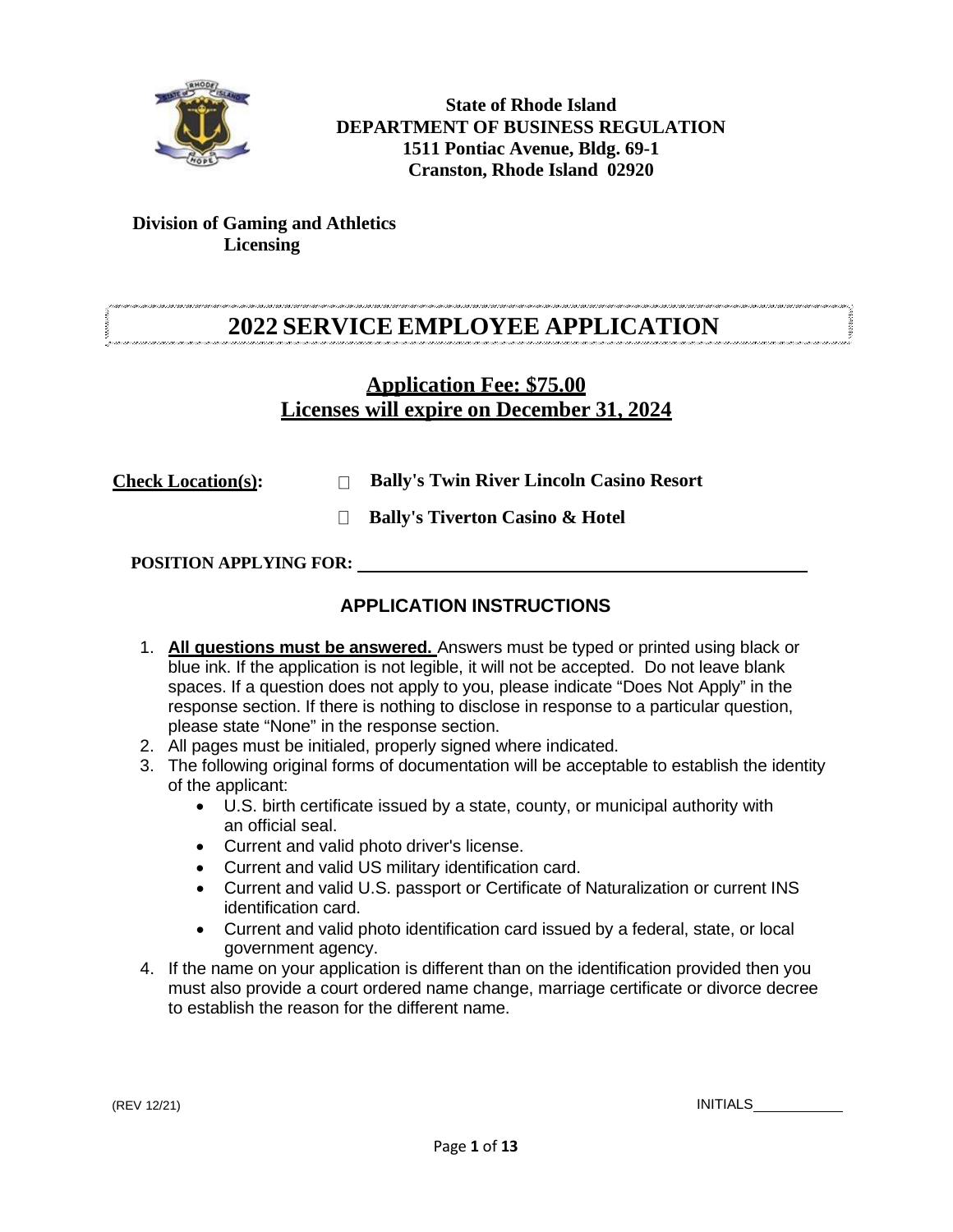

**State of Rhode Island DEPARTMENT OF BUSINESS REGULATION 1511 Pontiac Avenue, Bldg. 69-1 Cranston, Rhode Island 02920**

### **Division of Gaming and Athletics Licensing**

# **2022 SERVICE EMPLOYEE APPLICATION**

## **Application Fee: \$75.00 Licenses will expire on December 31, 2024**

**Check Location(s): Bally's Twin River Lincoln Casino Resort**

**Bally's Tiverton Casino & Hotel**

**POSITION APPLYING FOR:** 

## **APPLICATION INSTRUCTIONS**

- 1. **All questions must be answered.** Answers must be typed or printed using black or blue ink. If the application is not legible, it will not be accepted. Do not leave blank spaces. If a question does not apply to you, please indicate "Does Not Apply" in the response section. If there is nothing to disclose in response to a particular question, please state "None" in the response section.
- 2. All pages must be initialed, properly signed where indicated.
- 3. The following original forms of documentation will be acceptable to establish the identity of the applicant:
	- U.S. birth certificate issued by a state, county, or municipal authority with an official seal.
	- Current and valid photo driver's license.
	- Current and valid US military identification card.
	- Current and valid U.S. passport or Certificate of Naturalization or current INS identification card.
	- Current and valid photo identification card issued by a federal, state, or local government agency.
- 4. If the name on your application is different than on the identification provided then you must also provide a court ordered name change, marriage certificate or divorce decree to establish the reason for the different name.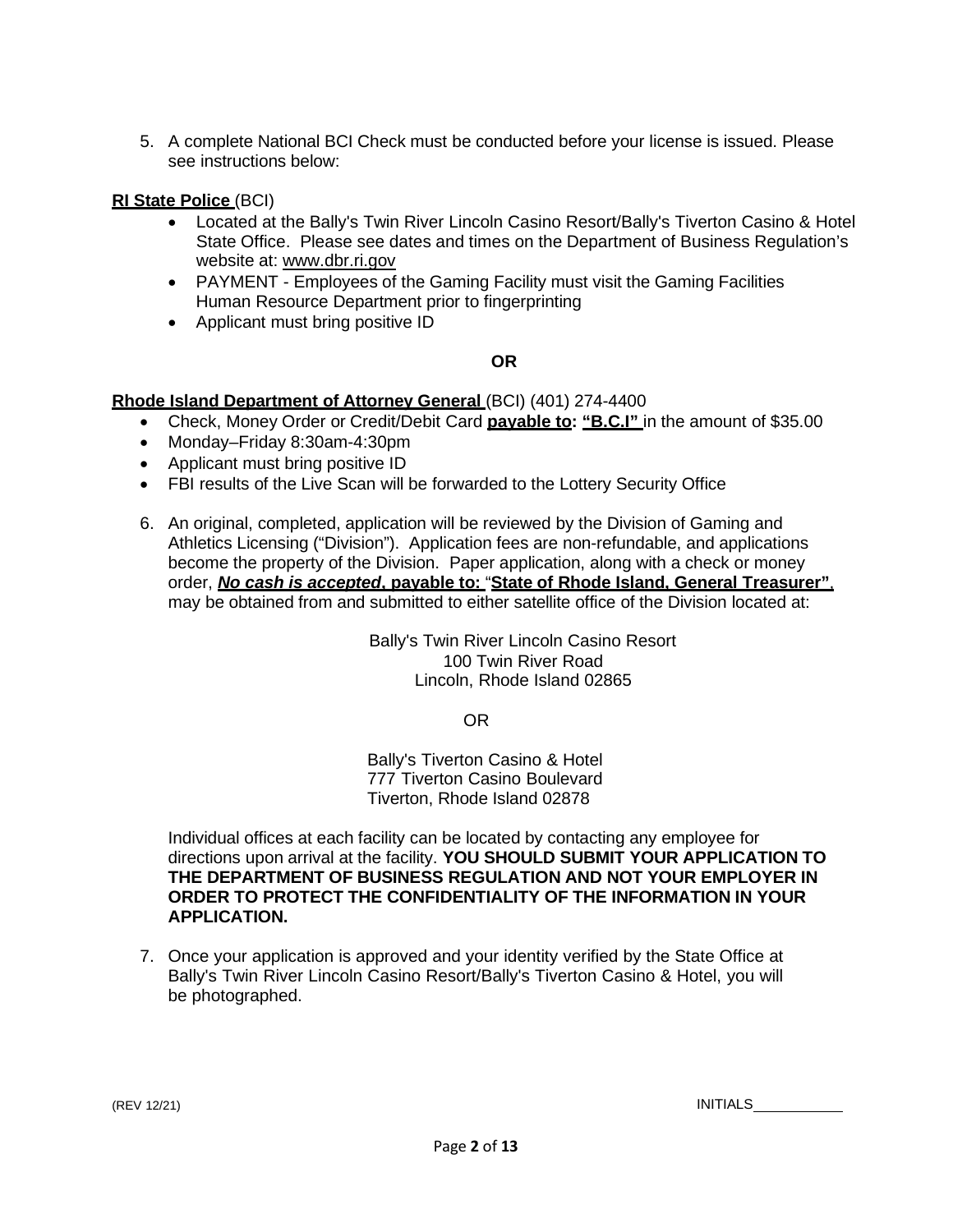5. A complete National BCI Check must be conducted before your license is issued. Please see instructions below:

#### **RI State Police** (BCI)

- Located at the Bally's Twin River Lincoln Casino Resort/Bally's Tiverton Casino & Hotel State Office. Please see dates and times on the Department of Business Regulation's website at: [www.dbr.ri.gov](http://www.dbr.ri.gov/)
- PAYMENT Employees of the Gaming Facility must visit the Gaming Facilities Human Resource Department prior to fingerprinting
- Applicant must bring positive ID

### **OR**

#### **Rhode Island Department of Attorney General** (BCI) (401) 274-4400

- Check, Money Order or Credit/Debit Card **payable to: "B.C.I"** in the amount of \$35.00
- Monday–Friday 8:30am-4:30pm
- Applicant must bring positive ID
- FBI results of the Live Scan will be forwarded to the Lottery Security Office
- 6. An original, completed, application will be reviewed by the Division of Gaming and Athletics Licensing ("Division"). Application fees are non-refundable, and applications become the property of the Division. Paper application, along with a check or money order, *No cash is accepted***, payable to:** "**State of Rhode Island, General Treasurer"**, may be obtained from and submitted to either satellite office of the Division located at:

Bally's Twin River Lincoln Casino Resort 100 Twin River Road Lincoln, Rhode Island 02865

OR

Bally's Tiverton Casino & Hotel 777 Tiverton Casino Boulevard Tiverton, Rhode Island 02878

Individual offices at each facility can be located by contacting any employee for directions upon arrival at the facility. **YOU SHOULD SUBMIT YOUR APPLICATION TO THE DEPARTMENT OF BUSINESS REGULATION AND NOT YOUR EMPLOYER IN ORDER TO PROTECT THE CONFIDENTIALITY OF THE INFORMATION IN YOUR APPLICATION.**

7. Once your application is approved and your identity verified by the State Office at Bally's Twin River Lincoln Casino Resort/Bally's Tiverton Casino & Hotel, you will be photographed.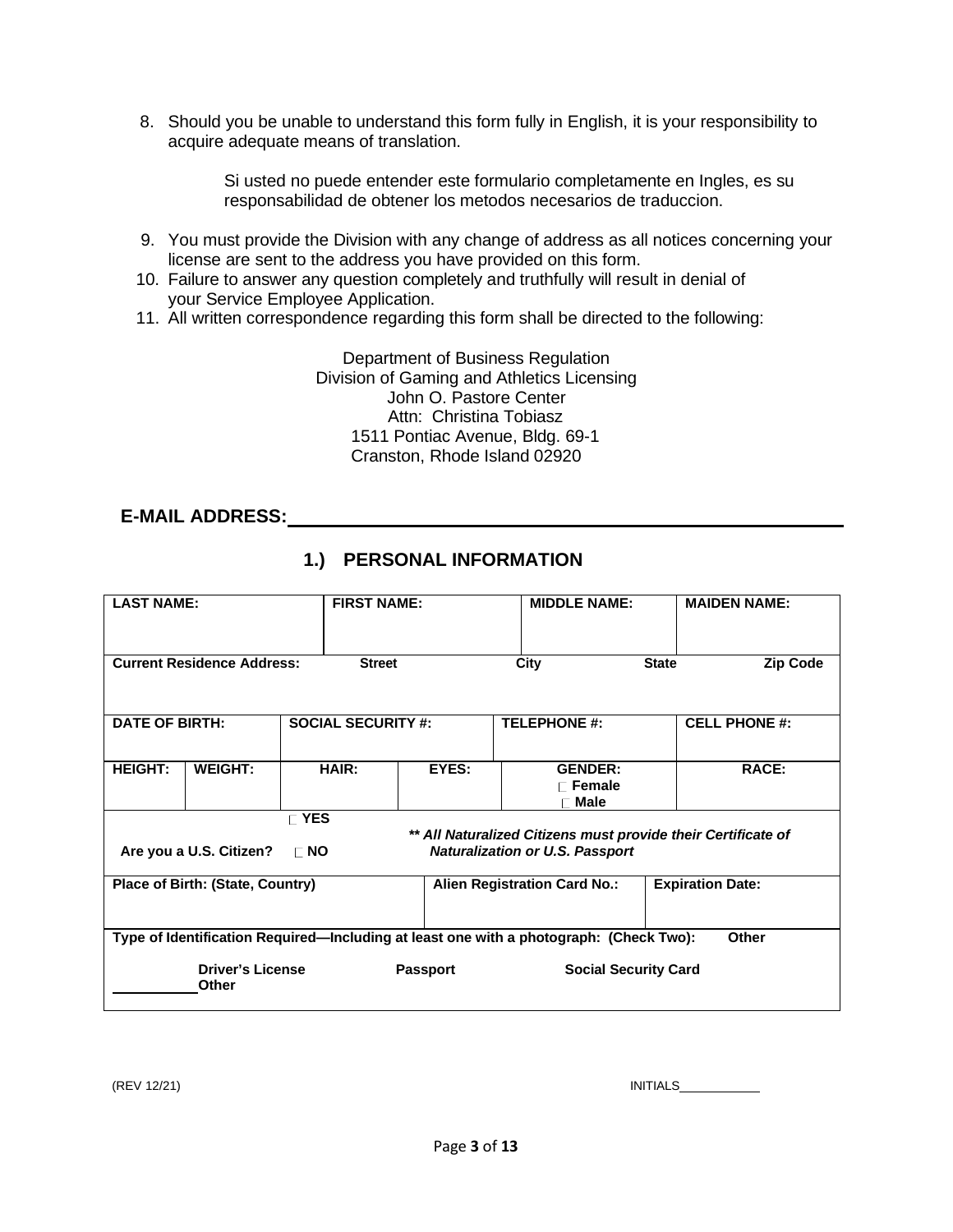8. Should you be unable to understand this form fully in English, it is your responsibility to acquire adequate means of translation.

> Si usted no puede entender este formulario completamente en Ingles, es su responsabilidad de obtener los metodos necesarios de traduccion.

- 9. You must provide the Division with any change of address as all notices concerning your license are sent to the address you have provided on this form.
- 10. Failure to answer any question completely and truthfully will result in denial of your Service Employee Application.
- 11. All written correspondence regarding this form shall be directed to the following:

Department of Business Regulation Division of Gaming and Athletics Licensing John O. Pastore Center Attn: Christina Tobiasz 1511 Pontiac Avenue, Bldg. 69-1 Cranston, Rhode Island 02920

## **E-MAIL ADDRESS:**

| <b>LAST NAME:</b>                |                                                                                                                                                      |              | <b>FIRST NAME:</b>                                             |                 | <b>MIDDLE NAME:</b> |                                                                                        | <b>MAIDEN NAME:</b> |                      |
|----------------------------------|------------------------------------------------------------------------------------------------------------------------------------------------------|--------------|----------------------------------------------------------------|-----------------|---------------------|----------------------------------------------------------------------------------------|---------------------|----------------------|
|                                  |                                                                                                                                                      |              |                                                                |                 |                     |                                                                                        |                     |                      |
|                                  | <b>Current Residence Address:</b>                                                                                                                    |              | <b>Street</b>                                                  |                 |                     | City                                                                                   | <b>State</b>        | Zip Code             |
|                                  |                                                                                                                                                      |              |                                                                |                 |                     |                                                                                        |                     |                      |
| <b>DATE OF BIRTH:</b>            |                                                                                                                                                      |              | <b>SOCIAL SECURITY #:</b>                                      |                 |                     | <b>TELEPHONE #:</b>                                                                    |                     | <b>CELL PHONE #:</b> |
| <b>HEIGHT:</b>                   | <b>WEIGHT:</b>                                                                                                                                       |              | <b>HAIR:</b>                                                   | EYES:           | <b>GENDER:</b>      |                                                                                        | <b>RACE:</b>        |                      |
|                                  |                                                                                                                                                      |              |                                                                |                 |                     | $\sqsubset$ Female                                                                     |                     |                      |
|                                  |                                                                                                                                                      | $\Gamma$ YES |                                                                |                 |                     | ⊺ Male                                                                                 |                     |                      |
|                                  | ** All Naturalized Citizens must provide their Certificate of<br><b>Naturalization or U.S. Passport</b><br>Are you a U.S. Citizen?<br>$\sqsubset$ NO |              |                                                                |                 |                     |                                                                                        |                     |                      |
| Place of Birth: (State, Country) |                                                                                                                                                      |              | <b>Alien Registration Card No.:</b><br><b>Expiration Date:</b> |                 |                     |                                                                                        |                     |                      |
|                                  |                                                                                                                                                      |              |                                                                |                 |                     |                                                                                        |                     |                      |
|                                  |                                                                                                                                                      |              |                                                                |                 |                     | Type of Identification Required—Including at least one with a photograph: (Check Two): |                     | Other                |
|                                  | <b>Driver's License</b><br>Other                                                                                                                     |              |                                                                | <b>Passport</b> |                     | <b>Social Security Card</b>                                                            |                     |                      |

## **1.) PERSONAL INFORMATION**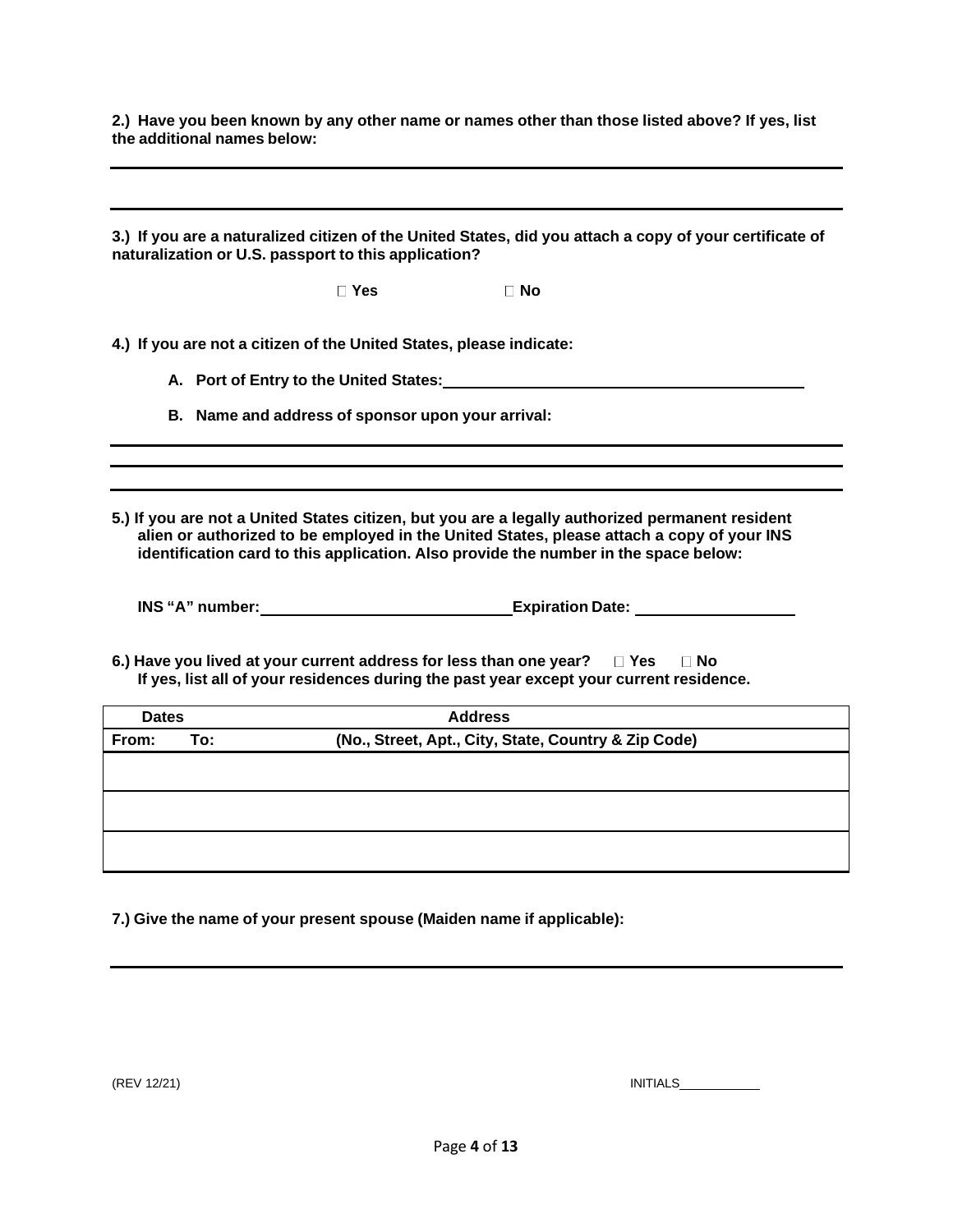2.) Have you been known by any other name or names other than those listed above? If yes, list **the additional names below:**

3.) If you are a naturalized citizen of the United States, did you attach a copy of your certificate of **naturalization or U.S. passport to this application? Yes No 4.) If you are not a citizen of the United States, please indicate: A. Port of Entry to the United States: B. Name and address of sponsor upon your arrival: 5.) If you are not a United States citizen, but you are a legally authorized permanent resident alien or authorized to be employed in the United States, please attach a copy of your INS identification card to this application. Also provide the number in the space below: INS "A" number: Expiration Date: 6.) Have you lived at your current address for less than one year? Yes No If yes, list all of your residences during the past year except your current residence. Dates Address From: To: (No., Street, Apt., City, State, Country & Zip Code)**

**7.) Give the name of your present spouse (Maiden name if applicable):**

(REV 12/21) INITIALS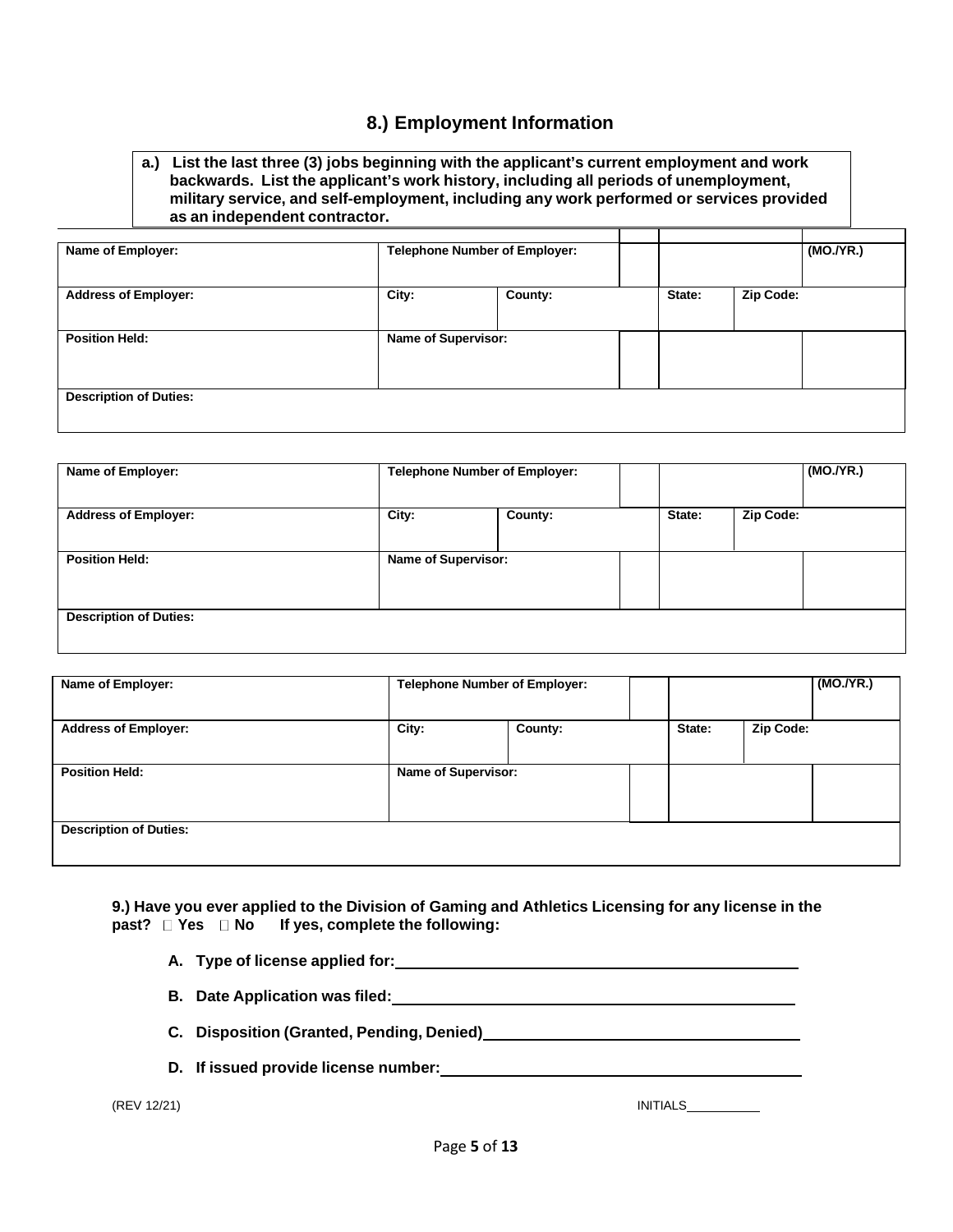### **8.) Employment Information**

#### **a.) List the last three (3) jobs beginning with the applicant's current employment and work backwards. List the applicant's work history, including all periods of unemployment, military service, and self-employment, including any work performed or services provided as an independent contractor.**

| Name of Employer:             | <b>Telephone Number of Employer:</b> |                |        |           | (MO./YR.) |
|-------------------------------|--------------------------------------|----------------|--------|-----------|-----------|
| <b>Address of Employer:</b>   | City:                                | <b>County:</b> | State: | Zip Code: |           |
| <b>Position Held:</b>         | Name of Supervisor:                  |                |        |           |           |
| <b>Description of Duties:</b> |                                      |                |        |           |           |

| Name of Employer:             |       | <b>Telephone Number of Employer:</b> |        | (MO./YR.) |  |  |
|-------------------------------|-------|--------------------------------------|--------|-----------|--|--|
| <b>Address of Employer:</b>   | City: | County:                              | State: | Zip Code: |  |  |
| <b>Position Held:</b>         |       | Name of Supervisor:                  |        |           |  |  |
| <b>Description of Duties:</b> |       |                                      |        |           |  |  |

| Name of Employer:             | <b>Telephone Number of Employer:</b> |         |        |           | (MO./YR.) |
|-------------------------------|--------------------------------------|---------|--------|-----------|-----------|
| <b>Address of Employer:</b>   | City:                                | County: | State: | Zip Code: |           |
| <b>Position Held:</b>         | <b>Name of Supervisor:</b>           |         |        |           |           |
| <b>Description of Duties:</b> |                                      |         |        |           |           |

**9.) Have you ever applied to the Division of Gaming and Athletics Licensing for any license in the past? Yes No If yes, complete the following:**

| A. Type of license applied for: |  |
|---------------------------------|--|
|                                 |  |

- **B. Date Application was filed:**
- **C. Disposition (Granted, Pending, Denied)**
- **D. If issued provide license number:**

(REV 12/21) INITIALS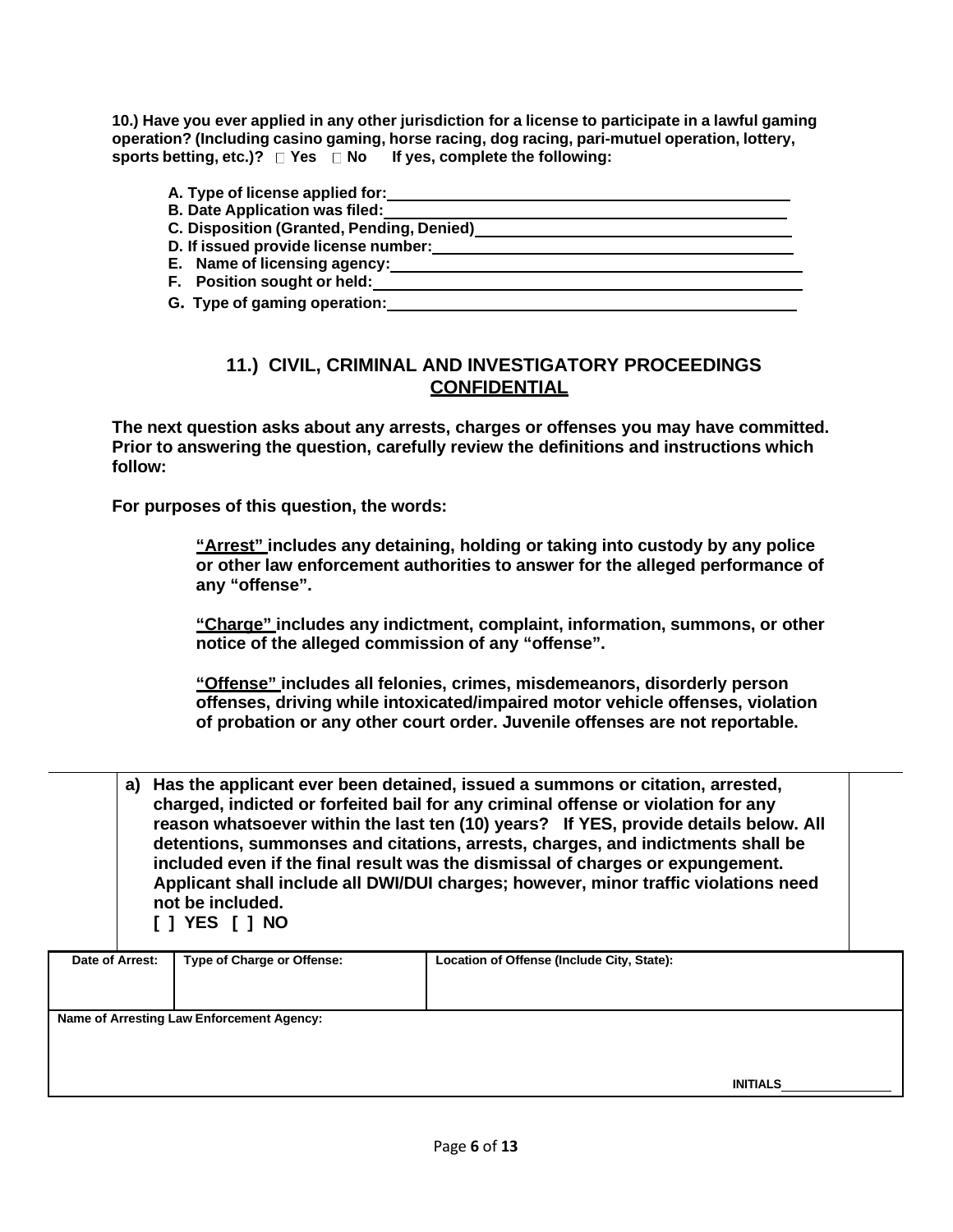10.) Have you ever applied in any other jurisdiction for a license to participate in a lawful gaming **operation? (Including casino gaming, horse racing, dog racing, pari-mutuel operation, lottery, sports betting, etc.)? Yes No If yes, complete the following:**

| A. Type of license applied for:           |
|-------------------------------------------|
| <b>B. Date Application was filed:</b>     |
| C. Disposition (Granted, Pending, Denied) |
| D. If issued provide license number:      |
| E. Name of licensing agency:              |
| F. Position sought or held:               |
| G. Type of gaming operation:              |

## **11.) CIVIL, CRIMINAL AND INVESTIGATORY PROCEEDINGS CONFIDENTIAL**

**The next question asks about any arrests, charges or offenses you may have committed. Prior to answering the question, carefully review the definitions and instructions which follow:**

**For purposes of this question, the words:**

**"Arrest" includes any detaining, holding or taking into custody by any police or other law enforcement authorities to answer for the alleged performance of any "offense".**

**"Charge" includes any indictment, complaint, information, summons, or other notice of the alleged commission of any "offense".**

**"Offense" includes all felonies, crimes, misdemeanors, disorderly person offenses, driving while intoxicated/impaired motor vehicle offenses, violation of probation or any other court order. Juvenile offenses are not reportable.**

| a) Has the applicant ever been detained, issued a summons or citation, arrested,     |
|--------------------------------------------------------------------------------------|
| charged, indicted or forfeited bail for any criminal offense or violation for any    |
| reason whatsoever within the last ten (10) years? If YES, provide details below. All |
| detentions, summonses and citations, arrests, charges, and indictments shall be      |
| included even if the final result was the dismissal of charges or expungement.       |
| Applicant shall include all DWI/DUI charges; however, minor traffic violations need  |
| not be included.                                                                     |
| I 1 YES I 1 NO                                                                       |
|                                                                                      |

| Date of Arrest: | <b>Type of Charge or Offense:</b>         | Location of Offense (Include City, State): |  |
|-----------------|-------------------------------------------|--------------------------------------------|--|
|                 | Name of Arresting Law Enforcement Agency: |                                            |  |
|                 |                                           |                                            |  |
|                 |                                           | <b>INITIALS</b>                            |  |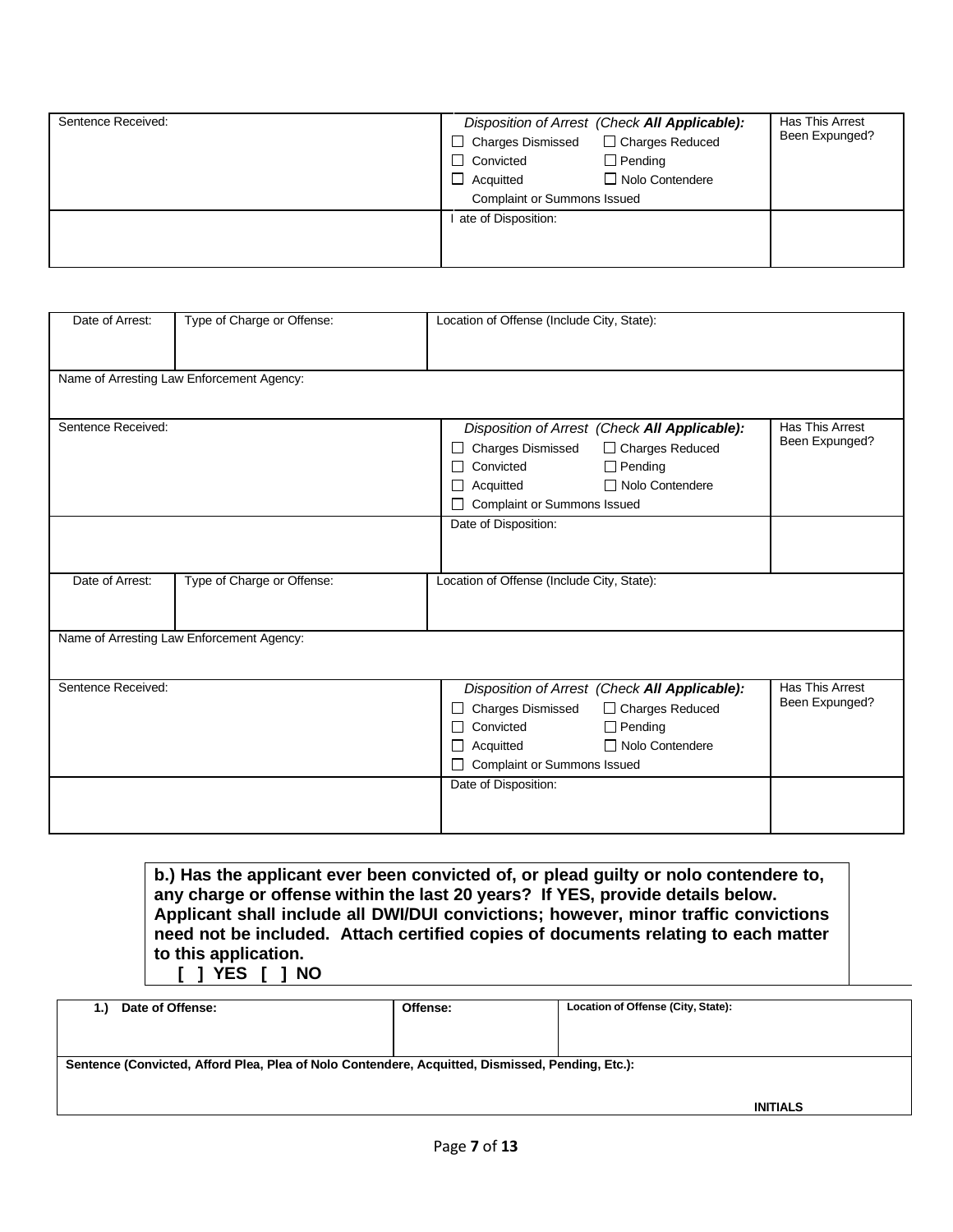| Sentence Received: | □ Charges Dismissed<br>$\Box$ Convicted<br>$\Box$ Acquitted<br><b>Complaint or Summons Issued</b> | Disposition of Arrest (Check All Applicable):<br>□ Charges Reduced<br>$\Box$ Pending<br>$\Box$ Nolo Contendere | Has This Arrest<br>Been Expunged? |
|--------------------|---------------------------------------------------------------------------------------------------|----------------------------------------------------------------------------------------------------------------|-----------------------------------|
|                    | ate of Disposition:                                                                               |                                                                                                                |                                   |

| Date of Arrest:    | Type of Charge or Offense:                | Location of Offense (Include City, State):    |                 |  |  |
|--------------------|-------------------------------------------|-----------------------------------------------|-----------------|--|--|
|                    |                                           |                                               |                 |  |  |
|                    |                                           |                                               |                 |  |  |
|                    | Name of Arresting Law Enforcement Agency: |                                               |                 |  |  |
|                    |                                           |                                               |                 |  |  |
|                    |                                           |                                               |                 |  |  |
| Sentence Received: |                                           | Disposition of Arrest (Check All Applicable): | Has This Arrest |  |  |
|                    |                                           | □ Charges Reduced<br><b>Charges Dismissed</b> | Been Expunged?  |  |  |
|                    |                                           | $\Box$ Pending<br>Convicted                   |                 |  |  |
|                    |                                           | □ Nolo Contendere<br>Acquitted                |                 |  |  |
|                    |                                           | <b>Complaint or Summons Issued</b>            |                 |  |  |
|                    |                                           | Date of Disposition:                          |                 |  |  |
|                    |                                           |                                               |                 |  |  |
|                    |                                           |                                               |                 |  |  |
| Date of Arrest:    | Type of Charge or Offense:                | Location of Offense (Include City, State):    |                 |  |  |
|                    |                                           |                                               |                 |  |  |
|                    |                                           |                                               |                 |  |  |
|                    | Name of Arresting Law Enforcement Agency: |                                               |                 |  |  |
|                    |                                           |                                               |                 |  |  |
| Sentence Received: |                                           |                                               | Has This Arrest |  |  |
|                    |                                           | Disposition of Arrest (Check All Applicable): | Been Expunged?  |  |  |
|                    |                                           | □ Charges Reduced<br><b>Charges Dismissed</b> |                 |  |  |
|                    |                                           | $\Box$ Pending<br>Convicted                   |                 |  |  |
|                    |                                           | □ Nolo Contendere<br>Acquitted                |                 |  |  |
|                    |                                           | Complaint or Summons Issued                   |                 |  |  |
|                    |                                           | Date of Disposition:                          |                 |  |  |
|                    |                                           |                                               |                 |  |  |
|                    |                                           |                                               |                 |  |  |

**b.) Has the applicant ever been convicted of, or plead guilty or nolo contendere to, any charge or offense within the last 20 years? If YES, provide details below. Applicant shall include all DWI/DUI convictions; however, minor traffic convictions need not be included. Attach certified copies of documents relating to each matter to this application. [ ] YES [ ] NO**

| Date of Offense:<br>1.)                                                                          | Offense: | Location of Offense (City, State): |  |  |  |  |
|--------------------------------------------------------------------------------------------------|----------|------------------------------------|--|--|--|--|
|                                                                                                  |          |                                    |  |  |  |  |
|                                                                                                  |          |                                    |  |  |  |  |
|                                                                                                  |          |                                    |  |  |  |  |
| Sentence (Convicted, Afford Plea, Plea of Nolo Contendere, Acquitted, Dismissed, Pending, Etc.): |          |                                    |  |  |  |  |
|                                                                                                  |          |                                    |  |  |  |  |
|                                                                                                  |          |                                    |  |  |  |  |
|                                                                                                  |          |                                    |  |  |  |  |
|                                                                                                  |          | INITIALS                           |  |  |  |  |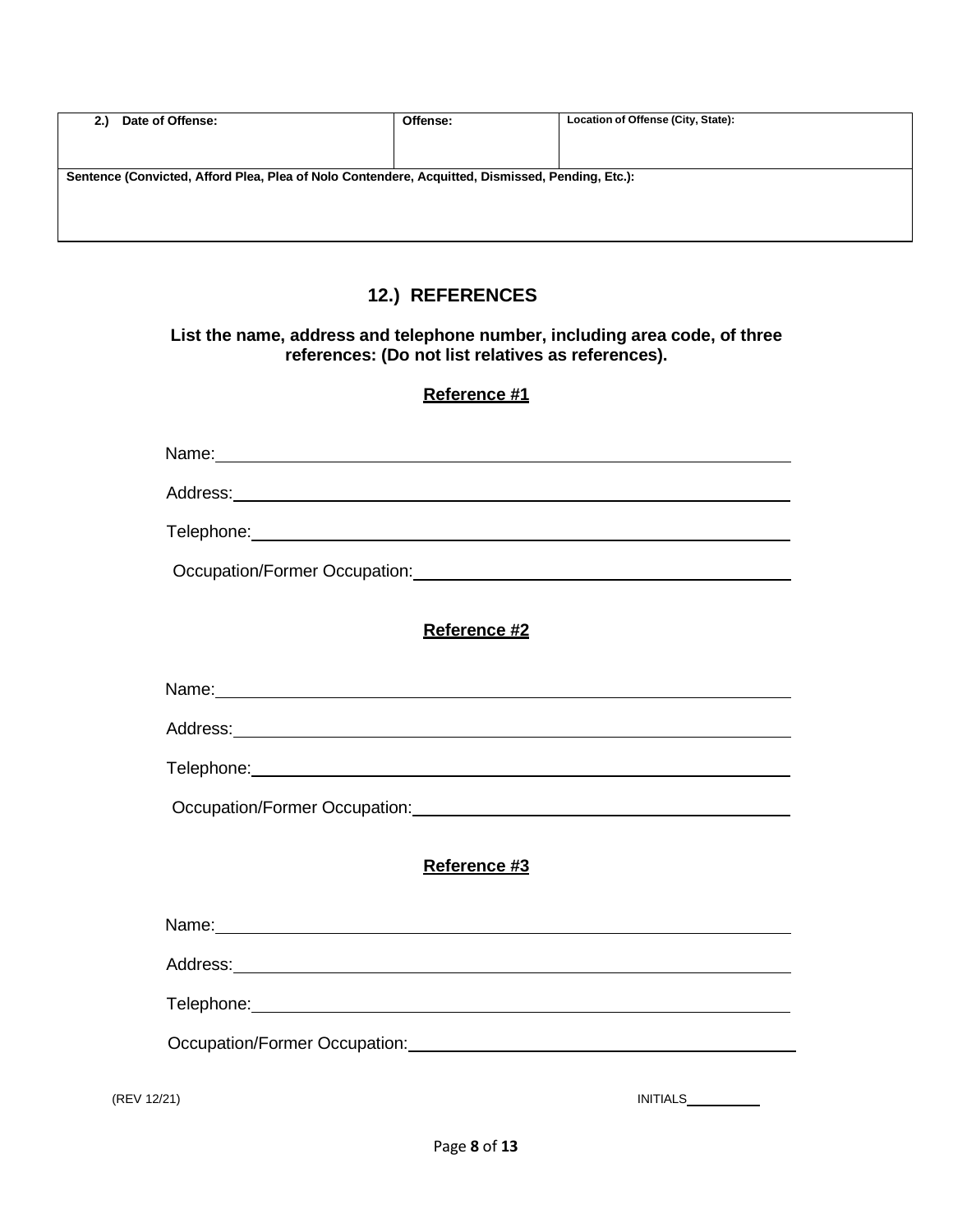| 2.1                                                                                              | Date of Offense: | Offense: | Location of Offense (City, State): |  |  |  |
|--------------------------------------------------------------------------------------------------|------------------|----------|------------------------------------|--|--|--|
|                                                                                                  |                  |          |                                    |  |  |  |
|                                                                                                  |                  |          |                                    |  |  |  |
| Sentence (Convicted, Afford Plea, Plea of Nolo Contendere, Acquitted, Dismissed, Pending, Etc.): |                  |          |                                    |  |  |  |
|                                                                                                  |                  |          |                                    |  |  |  |
|                                                                                                  |                  |          |                                    |  |  |  |
|                                                                                                  |                  |          |                                    |  |  |  |

# **12.) REFERENCES**

#### **List the name, address and telephone number, including area code, of three references: (Do not list relatives as references).**

### **Reference #1**

|             | Reference #2                                                                                                                                                                                                                         |
|-------------|--------------------------------------------------------------------------------------------------------------------------------------------------------------------------------------------------------------------------------------|
|             |                                                                                                                                                                                                                                      |
|             |                                                                                                                                                                                                                                      |
|             | Telephone: <u>Contract Communication</u> Contract Communication Communication Communication Communication Communication                                                                                                              |
|             |                                                                                                                                                                                                                                      |
|             | Reference #3                                                                                                                                                                                                                         |
|             | Name: Name: Name: Name: Name: Name: Name: Name: Name: Name: Name: Name: Name: Name: Name: Name: Name: Name: Name: Name: Name: Name: Name: Name: Name: Name: Name: Name: Name: Name: Name: Name: Name: Name: Name: Name: Name:        |
|             |                                                                                                                                                                                                                                      |
|             | Telephone: <u>www.community.com/inductors/inductors/inductors/inductors/inductors/inductors/inductors/inductors/inductors/inductors/inductors/inductors/inductors/inductors/inductors/inductors/inductors/inductors/inductors/in</u> |
|             | Occupation/Former Occupation:<br><u>December 2006</u>                                                                                                                                                                                |
| (REV 12/21) | <b>INITIALS</b>                                                                                                                                                                                                                      |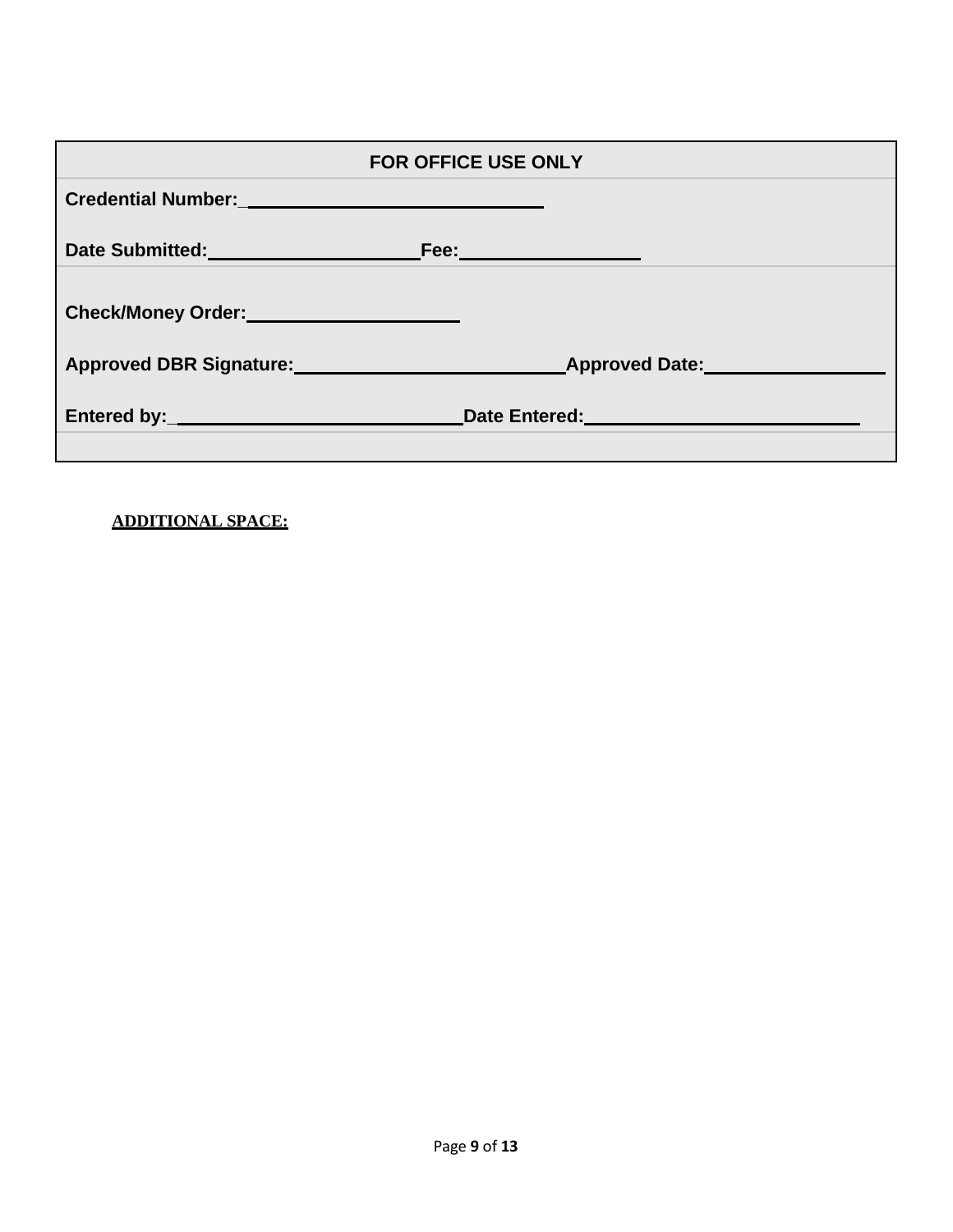| <b>FOR OFFICE USE ONLY</b>                              |                                                                                                                 |  |
|---------------------------------------------------------|-----------------------------------------------------------------------------------------------------------------|--|
| Credential Number: University of the Credential Number: |                                                                                                                 |  |
| Date Submitted: Fee: Fee:                               |                                                                                                                 |  |
| Check/Money Order:<br><u> Check/Money Order</u> :       |                                                                                                                 |  |
|                                                         | Approved DBR Signature: Approved Date: Approved Date:                                                           |  |
|                                                         | Date Entered: University of the Contract of the Contract of the Contract of the Contract of the Contract of the |  |

## **ADDITIONAL SPACE:**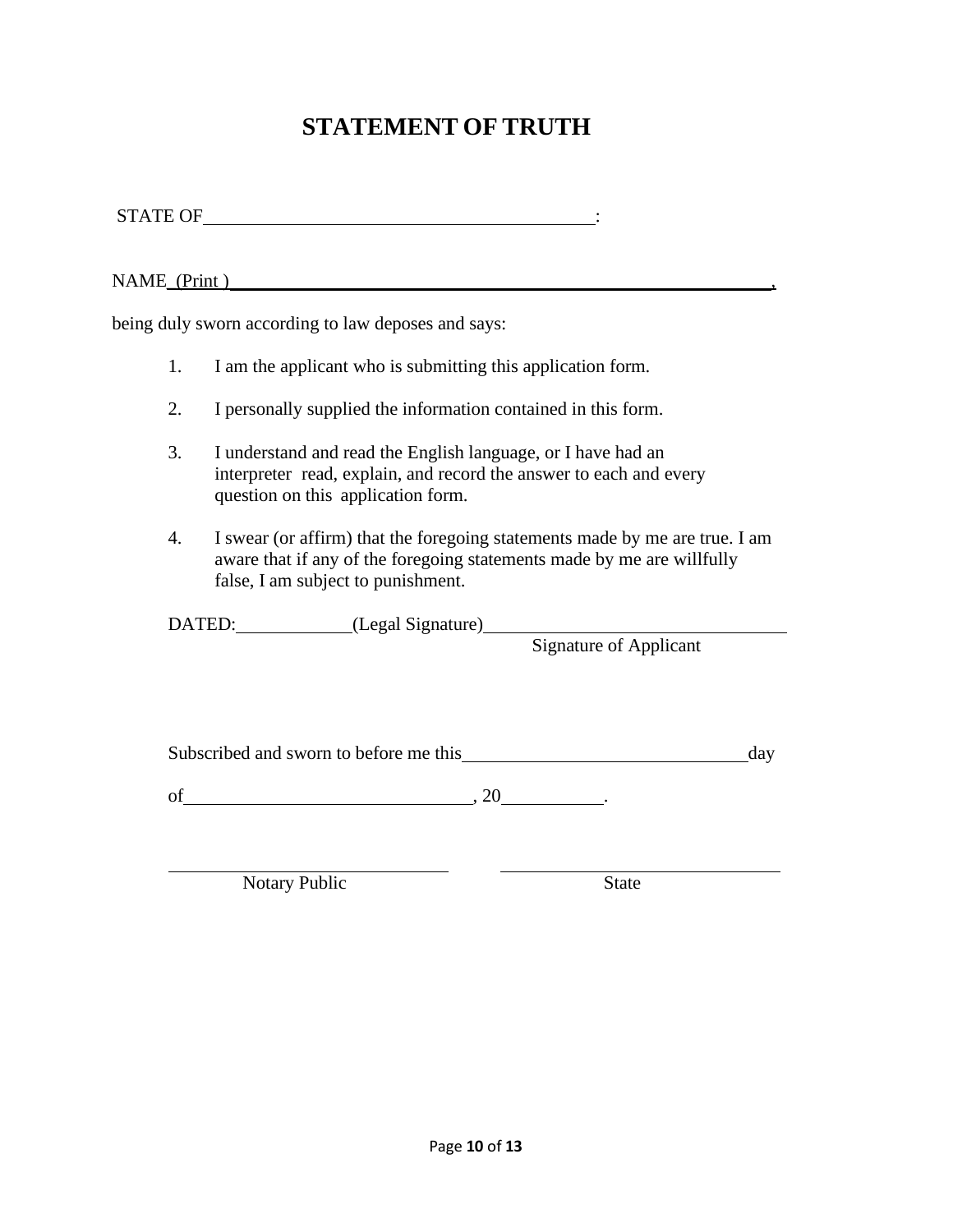# **STATEMENT OF TRUTH**

STATE OF  $\qquad \qquad \vdots$ 

NAME<sub>\_</sub>(Print)

being duly sworn according to law deposes and says:

- 1. I am the applicant who is submitting this application form.
- 2. I personally supplied the information contained in this form.
- 3. I understand and read the English language, or I have had an interpreter read, explain, and record the answer to each and every question on this application form.
- 4. I swear (or affirm) that the foregoing statements made by me are true. I am aware that if any of the foregoing statements made by me are willfully false, I am subject to punishment.

DATED: (Legal Signature)

Signature of Applicant

Subscribed and sworn to before me this day

of  $, 20$  .

Notary Public State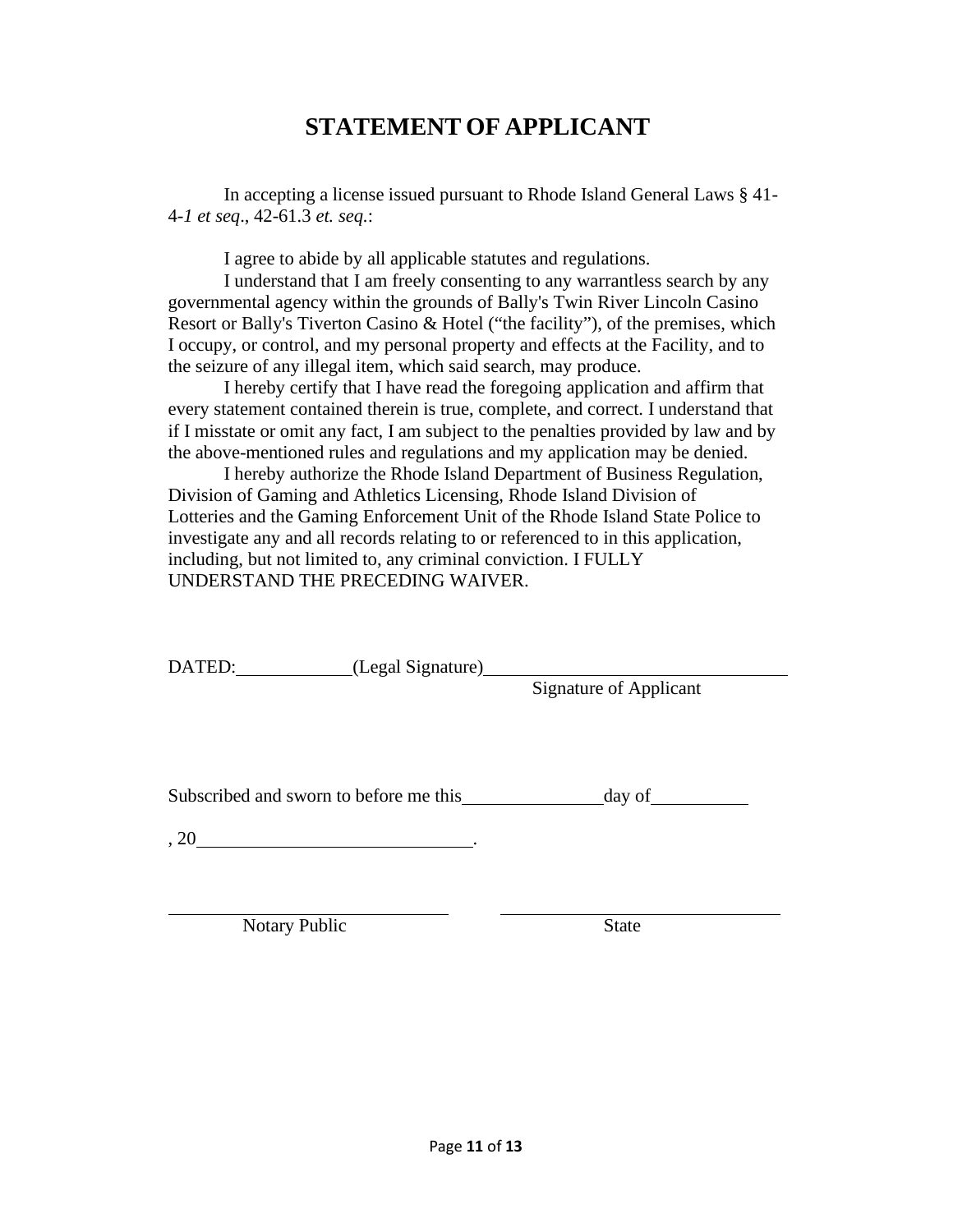# **STATEMENT OF APPLICANT**

In accepting a license issued pursuant to Rhode Island General Laws § 41- 4-*1 et seq*., 42-61.3 *et. seq.*:

I agree to abide by all applicable statutes and regulations.

I understand that I am freely consenting to any warrantless search by any governmental agency within the grounds of Bally's Twin River Lincoln Casino Resort or Bally's Tiverton Casino & Hotel ("the facility"), of the premises, which I occupy, or control, and my personal property and effects at the Facility, and to the seizure of any illegal item, which said search, may produce.

I hereby certify that I have read the foregoing application and affirm that every statement contained therein is true, complete, and correct. I understand that if I misstate or omit any fact, I am subject to the penalties provided by law and by the above-mentioned rules and regulations and my application may be denied.

I hereby authorize the Rhode Island Department of Business Regulation, Division of Gaming and Athletics Licensing, Rhode Island Division of Lotteries and the Gaming Enforcement Unit of the Rhode Island State Police to investigate any and all records relating to or referenced to in this application, including, but not limited to, any criminal conviction. I FULLY UNDERSTAND THE PRECEDING WAIVER.

DATED: (Legal Signature)

Signature of Applicant

Subscribed and sworn to before me this day of

, 20  $\overline{\phantom{a}}$ 

Notary Public State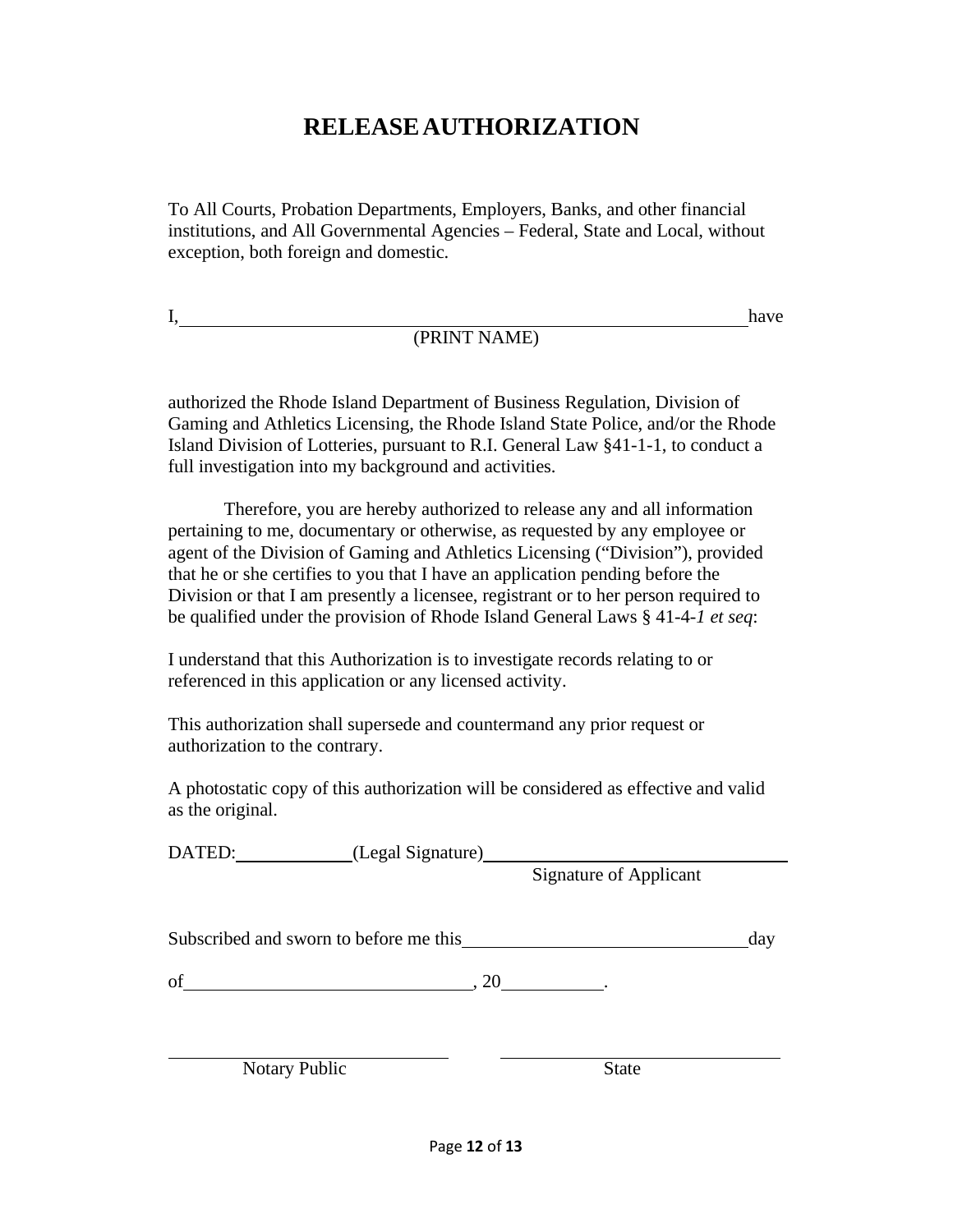# **RELEASEAUTHORIZATION**

To All Courts, Probation Departments, Employers, Banks, and other financial institutions, and All Governmental Agencies – Federal, State and Local, without exception, both foreign and domestic.

I,

(PRINT NAME)

have

authorized the Rhode Island Department of Business Regulation, Division of Gaming and Athletics Licensing, the Rhode Island State Police, and/or the Rhode Island Division of Lotteries, pursuant to R.I. General Law §41-1-1, to conduct a full investigation into my background and activities.

Therefore, you are hereby authorized to release any and all information pertaining to me, documentary or otherwise, as requested by any employee or agent of the Division of Gaming and Athletics Licensing ("Division"), provided that he or she certifies to you that I have an application pending before the Division or that I am presently a licensee, registrant or to her person required to be qualified under the provision of Rhode Island General Laws § 41-4-*1 et seq*:

I understand that this Authorization is to investigate records relating to or referenced in this application or any licensed activity.

This authorization shall supersede and countermand any prior request or authorization to the contrary.

A photostatic copy of this authorization will be considered as effective and valid as the original.

| DATED: (Legal Signature)               |                               |     |
|----------------------------------------|-------------------------------|-----|
|                                        | <b>Signature of Applicant</b> |     |
|                                        |                               |     |
| Subscribed and sworn to before me this |                               | day |
| of                                     |                               |     |
|                                        |                               |     |
| <b>Notary Public</b>                   | <b>State</b>                  |     |